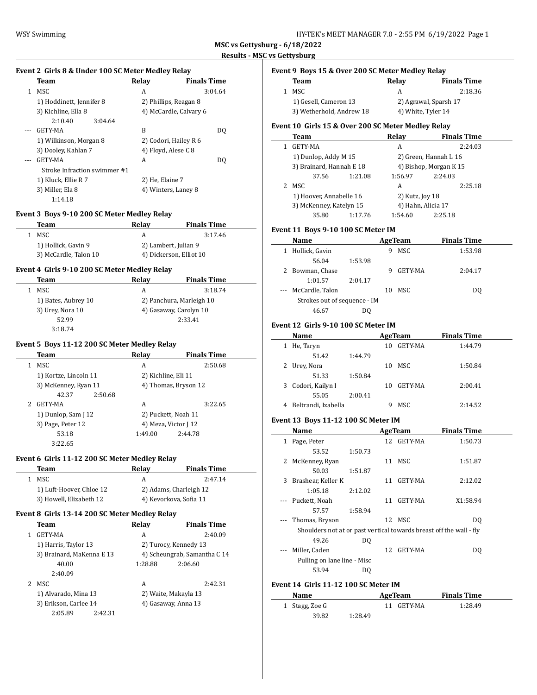| HY-TEK's MEET MANAGER 7.0 - 2:55 PM  6/19/2022  Page 1 |  |
|--------------------------------------------------------|--|
|--------------------------------------------------------|--|

**Team Relay Finals Time**

**Event 9 Boys 15 & Over 200 SC Meter Medley Relay**

**MSC vs Gettysburg - 6/18/2022 Results - MSC vs Gettysburg**

 $\overline{a}$ 

 $\overline{\phantom{0}}$ 

 $\overline{a}$ 

### **Event 2 Girls 8 & Under 100 SC Meter Medley Relay**

|    | Team                         | Relay           | <b>Finals Time</b>     |
|----|------------------------------|-----------------|------------------------|
| 1. | MSC                          | A               | 3:04.64                |
|    | 1) Hoddinett, Jennifer 8     |                 | 2) Phillips, Reagan 8  |
|    | 3) Kichline, Ella 8          |                 | 4) McCardle, Calvary 6 |
|    | 2:10.40<br>3:04.64           |                 |                        |
|    | GETY-MA                      | B               | DQ                     |
|    | 1) Wilkinson, Morgan 8       |                 | 2) Codori, Hailey R 6  |
|    | 3) Dooley, Kahlan 7          |                 | 4) Floyd, Alese C 8    |
|    | GETY-MA                      | A               | DO.                    |
|    | Stroke Infraction swimmer #1 |                 |                        |
|    | 1) Kluck, Ellie R 7          | 2) He, Elaine 7 |                        |
|    | 3) Miller, Ela 8             |                 | 4) Winters, Laney 8    |
|    | 1:14.18                      |                 |                        |

## **Event 3 Boys 9-10 200 SC Meter Medley Relay**

| Team                  | Relav                   | <b>Finals Time</b> |
|-----------------------|-------------------------|--------------------|
| MSC.<br>1             | А                       | 3:17.46            |
| 1) Hollick, Gavin 9   | 2) Lambert, Julian 9    |                    |
| 3) McCardle, Talon 10 | 4) Dickerson, Elliot 10 |                    |

## **Event 4 Girls 9-10 200 SC Meter Medley Relay**

| Team                | Relav                    | <b>Finals Time</b> |
|---------------------|--------------------------|--------------------|
| MSC                 | А                        | 3:18.74            |
| 1) Bates, Aubrey 10 | 2) Panchura, Marleigh 10 |                    |
| 3) Urey, Nora 10    | 4) Gasaway, Carolyn 10   |                    |
| 52.99               |                          | 2:33.41            |
| 3:18.74             |                          |                    |

# **Event 5 Boys 11-12 200 SC Meter Medley Relay**

 $\overline{a}$ 

| Team                  | Relav                | <b>Finals Time</b>   |  |
|-----------------------|----------------------|----------------------|--|
| MSC                   | A                    | 2:50.68              |  |
| 1) Kortze, Lincoln 11 | 2) Kichline, Eli 11  |                      |  |
| 3) McKenney, Ryan 11  |                      | 4) Thomas, Bryson 12 |  |
| 2:50.68<br>42.37      |                      |                      |  |
| GETY-MA               | A                    | 3:22.65              |  |
| 1) Dunlop, Sam J 12   | 2) Puckett, Noah 11  |                      |  |
| 3) Page, Peter 12     | 4) Meza, Victor J 12 |                      |  |
| 53.18                 | 1:49.00              | 2:44.78              |  |
| 3:22.65               |                      |                      |  |

## **Event 6 Girls 11-12 200 SC Meter Medley Relay**

| Team                     | Relav | <b>Finals Time</b>     |
|--------------------------|-------|------------------------|
| 1 MSC                    |       | 2:47.14                |
| 1) Luft-Hoover, Chloe 12 |       | 2) Adams, Charleigh 12 |
| 3) Howell, Elizabeth 12  |       | 4) Kevorkova, Sofia 11 |

### **Event 8 Girls 13-14 200 SC Meter Medley Relay**

| Team      |                           |         | Relay   |                              | <b>Finals Time</b> |
|-----------|---------------------------|---------|---------|------------------------------|--------------------|
| GETY-MA   |                           |         | A       |                              | 2:40.09            |
|           | 1) Harris, Taylor 13      |         |         | 2) Turocy, Kennedy 13        |                    |
|           | 3) Brainard, MaKenna E 13 |         |         | 4) Scheungrab, Samantha C 14 |                    |
|           | 40.00                     |         | 1:28.88 | 2:06.60                      |                    |
|           | 2:40.09                   |         |         |                              |                    |
| MSC.<br>2 |                           |         | A       |                              | 2:42.31            |
|           | 1) Alvarado, Mina 13      |         |         | 2) Waite, Makayla 13         |                    |
|           | 3) Erikson, Carlee 14     |         |         | 4) Gasaway, Anna 13          |                    |
|           | 2:05.89                   | 2:42.31 |         |                              |                    |
|           |                           |         |         |                              |                    |

| 1  | MSC.                                                |         | A                  | 2:18.36                |  |
|----|-----------------------------------------------------|---------|--------------------|------------------------|--|
|    | 1) Gesell, Cameron 13                               |         |                    | 2) Agrawal, Sparsh 17  |  |
|    | 3) Wetherhold, Andrew 18                            |         |                    | 4) White, Tyler 14     |  |
|    | Event 10  Girls 15 & Over 200 SC Meter Medley Relay |         |                    |                        |  |
|    | Team                                                |         | Relay              | <b>Finals Time</b>     |  |
| 1. | GETY-MA                                             |         | A                  | 2:24.03                |  |
|    | 1) Dunlop, Addy M 15                                |         |                    | 2) Green, Hannah L 16  |  |
|    | 3) Brainard, Hannah E 18                            |         |                    | 4) Bishop, Morgan K 15 |  |
|    | 37.56                                               | 1:21.08 | 1:56.97            | 2:24.03                |  |
| 2  | MSC.                                                |         | A                  | 2:25.18                |  |
|    | 1) Hoover, Annabelle 16                             |         | 2) Kutz, Joy 18    |                        |  |
|    | 3) McKenney, Katelyn 15                             |         | 4) Hahn, Alicia 17 |                        |  |
|    | 35.80                                               | 1:17.76 | 1:54.60            | 2:25.18                |  |

#### **Event 11 Boys 9-10 100 SC Meter IM**

|   | <b>Name</b>                  |         |    | AgeTeam | <b>Finals Time</b> |  |
|---|------------------------------|---------|----|---------|--------------------|--|
| 1 | Hollick, Gavin               |         | 9  | MSC     | 1:53.98            |  |
|   | 56.04                        | 1:53.98 |    |         |                    |  |
|   | Bowman, Chase                |         | 9  | GETY-MA | 2:04.17            |  |
|   | 1:01.57                      | 2:04.17 |    |         |                    |  |
|   | McCardle, Talon              |         | 10 | MSC.    | DO                 |  |
|   | Strokes out of sequence - IM |         |    |         |                    |  |
|   | 46.67                        | DΟ      |    |         |                    |  |

## **Event 12 Girls 9-10 100 SC Meter IM**

|   | Name                |         |    | AgeTeam        | <b>Finals Time</b> |  |
|---|---------------------|---------|----|----------------|--------------------|--|
| 1 | He, Taryn           |         | 10 | GETY-MA        | 1:44.79            |  |
|   | 51.42               | 1:44.79 |    |                |                    |  |
|   | Urey, Nora          |         | 10 | MSC            | 1:50.84            |  |
|   | 51.33               | 1:50.84 |    |                |                    |  |
| 3 | Codori, Kailyn I    |         | 10 | <b>GETY-MA</b> | 2:00.41            |  |
|   | 55.05               | 2:00.41 |    |                |                    |  |
|   | Beltrandi, Izabella |         |    | MSC            | 2:14.52            |  |

### **Event 13 Boys 11-12 100 SC Meter IM**

|   | Name                                                                |         |    | AgeTeam    | <b>Finals Time</b> |  |
|---|---------------------------------------------------------------------|---------|----|------------|--------------------|--|
| 1 | Page, Peter                                                         |         |    | 12 GETY-MA | 1:50.73            |  |
|   | 53.52                                                               | 1:50.73 |    |            |                    |  |
| 2 | McKenney, Ryan                                                      |         |    | 11 MSC     | 1:51.87            |  |
|   | 50.03                                                               | 1:51.87 |    |            |                    |  |
| 3 | Brashear, Keller K                                                  |         | 11 | GETY-MA    | 2:12.02            |  |
|   | 1:05.18                                                             | 2:12.02 |    |            |                    |  |
|   | Puckett, Noah                                                       |         | 11 | GETY-MA    | X1:58.94           |  |
|   | 57.57                                                               | 1:58.94 |    |            |                    |  |
|   | Thomas, Bryson                                                      |         |    | 12 MSC     | DO.                |  |
|   | Shoulders not at or past vertical towards breast off the wall - fly |         |    |            |                    |  |
|   | 49.26                                                               | DO      |    |            |                    |  |
|   | Miller, Caden                                                       |         | 12 | GETY-MA    | DO.                |  |
|   | Pulling on lane line - Misc                                         |         |    |            |                    |  |
|   | 53.94                                                               | DO      |    |            |                    |  |

# **Event 14 Girls 11-12 100 SC Meter IM**

| Name           |         | AgeTeam    | <b>Finals Time</b> |  |
|----------------|---------|------------|--------------------|--|
| 1 Stagg, Zoe G |         | 11 GETY-MA | 1:28.49            |  |
| 39.82          | 1:28.49 |            |                    |  |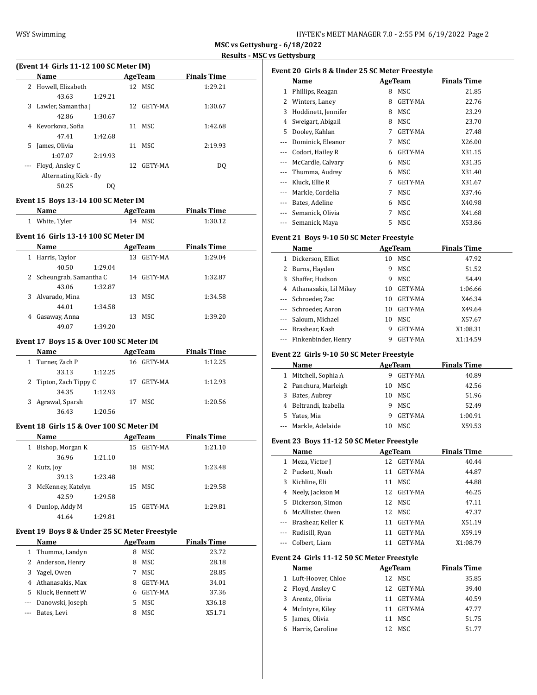| HY-TEK's MEET MANAGER 7.0 - 2:55 PM 6/19/2022 Page 2 |  |  |  |
|------------------------------------------------------|--|--|--|
|------------------------------------------------------|--|--|--|

L.

|   | Name                   |         |    | AgeTeam    | <b>Finals Time</b> |
|---|------------------------|---------|----|------------|--------------------|
|   | 2 Howell, Elizabeth    |         |    | 12 MSC     | 1:29.21            |
|   | 43.63                  | 1:29.21 |    |            |                    |
|   | 3 Lawler, Samantha J   |         |    | 12 GETY-MA | 1:30.67            |
|   | 42.86                  | 1:30.67 |    |            |                    |
| 4 | Kevorkova, Sofia       |         |    | 11 MSC     | 1:42.68            |
|   | 47.41                  | 1:42.68 |    |            |                    |
| 5 | James, Olivia          |         | 11 | MSC        | 2:19.93            |
|   | 1:07.07                | 2:19.93 |    |            |                    |
|   | --- Floyd, Ansley C    |         |    | 12 GETY-MA | DO.                |
|   | Alternating Kick - fly |         |    |            |                    |
|   | 50.25                  | DO.     |    |            |                    |

#### **Event 15 Boys 13-14 100 SC Meter IM**

| <b>Name</b>    | AgeTeam | <b>Finals Time</b> |  |
|----------------|---------|--------------------|--|
| 1 White, Tyler | 14 MSC  | 1:30.12            |  |

## **Event 16 Girls 13-14 100 SC Meter IM**

|   | Name                     |         | <b>AgeTeam</b> |         | <b>Finals Time</b> |         |  |
|---|--------------------------|---------|----------------|---------|--------------------|---------|--|
| 1 | Harris, Taylor           |         | 13             | GETY-MA |                    | 1:29.04 |  |
|   | 40.50                    | 1:29.04 |                |         |                    |         |  |
|   | 2 Scheungrab, Samantha C |         | 14             | GETY-MA |                    | 1:32.87 |  |
|   | 43.06                    | 1:32.87 |                |         |                    |         |  |
|   | 3 Alvarado, Mina         |         | 13             | MSC     |                    | 1:34.58 |  |
|   | 44.01                    | 1:34.58 |                |         |                    |         |  |
| 4 | Gasaway, Anna            |         | 13             | MSC.    |                    | 1:39.20 |  |
|   | 49.07                    | 1:39.20 |                |         |                    |         |  |

# **Event 17 Boys 15 & Over 100 SC Meter IM**

| <b>Name</b>            | AgeTeam        | <b>Finals Time</b> |  |
|------------------------|----------------|--------------------|--|
| 1 Turner, Zach P       | GETY-MA<br>16. | 1:12.25            |  |
| 33.13<br>1:12.25       |                |                    |  |
| 2 Tipton, Zach Tippy C | GETY-MA<br>17  | 1:12.93            |  |
| 34.35<br>1:12.93       |                |                    |  |
| 3 Agrawal, Sparsh      | MSC<br>17      | 1:20.56            |  |
| 36.43<br>1:20.56       |                |                    |  |

### **Event 18 Girls 15 & Over 100 SC Meter IM**

| Name                    |         |    | AgeTeam    | <b>Finals Time</b> |  |
|-------------------------|---------|----|------------|--------------------|--|
| Bishop, Morgan K<br>1   |         |    | 15 GETY-MA | 1:21.10            |  |
| 36.96                   | 1:21.10 |    |            |                    |  |
| Kutz, Joy               |         | 18 | MSC.       | 1:23.48            |  |
| 39.13                   | 1:23.48 |    |            |                    |  |
| McKenney, Katelyn<br>3. |         |    | 15 MSC     | 1:29.58            |  |
| 42.59                   | 1:29.58 |    |            |                    |  |
| Dunlop, Addy M          |         | 15 | GETY-MA    | 1:29.81            |  |
| 41.64                   | 1:29.81 |    |            |                    |  |

# **Event 19 Boys 8 & Under 25 SC Meter Freestyle**

 $\overline{a}$ 

|   | <b>Name</b>        | AgeTeam |         | <b>Finals Time</b> |
|---|--------------------|---------|---------|--------------------|
|   | 1 Thumma, Landyn   | 8       | MSC     | 23.72              |
|   | 2 Anderson, Henry  | 8       | MSC     | 28.18              |
| 3 | Yagel, Owen        | 7       | MSC.    | 28.85              |
|   | 4 Athanasakis, Max | 8       | GETY-MA | 34.01              |
|   | 5 Kluck, Bennett W | 6       | GETY-MA | 37.36              |
|   | Danowski, Joseph   | 5.      | MSC     | X36.18             |
|   | Bates, Levi        | 8       | MSC     | X51.71             |

| Event 20 Girls 8 & Under 25 SC Meter Freestyle |                     |   |                |                    |  |  |
|------------------------------------------------|---------------------|---|----------------|--------------------|--|--|
|                                                | Name                |   | AgeTeam        | <b>Finals Time</b> |  |  |
| 1                                              | Phillips, Reagan    | 8 | MSC            | 21.85              |  |  |
| 2                                              | Winters, Laney      | 8 | GETY-MA        | 22.76              |  |  |
| 3                                              | Hoddinett, Jennifer | 8 | MSC            | 23.29              |  |  |
| 4                                              | Sweigart, Abigail   | 8 | MSC            | 23.70              |  |  |
| 5                                              | Dooley, Kahlan      | 7 | GETY-MA        | 27.48              |  |  |
| $---$                                          | Dominick, Eleanor   | 7 | MSC            | X26.00             |  |  |
|                                                | Codori, Hailey R    | 6 | <b>GETY-MA</b> | X31.15             |  |  |
|                                                | McCardle, Calvary   | 6 | MSC            | X31.35             |  |  |
| ---                                            | Thumma, Audrey      | 6 | MSC            | X31.40             |  |  |
|                                                | Kluck, Ellie R      | 7 | <b>GETY-MA</b> | X31.67             |  |  |
| $---$                                          | Markle, Cordelia    | 7 | MSC            | X37.46             |  |  |
|                                                | Bates, Adeline      | 6 | MSC            | X40.98             |  |  |
|                                                | Semanick, Olivia    | 7 | MSC            | X41.68             |  |  |
| ---                                            | Semanick, Maya      | 5 | MSC            | X53.86             |  |  |

## **Event 21 Boys 9-10 50 SC Meter Freestyle**

|          | Name                   | AgeTeam |                | <b>Finals Time</b> |
|----------|------------------------|---------|----------------|--------------------|
| 1        | Dickerson, Elliot      | 10      | MSC            | 47.92              |
|          | 2 Burns, Hayden        | 9       | MSC            | 51.52              |
| 3        | Shaffer, Hudson        | 9       | MSC            | 54.49              |
| 4        | Athanasakis, Lil Mikey | 10      | GETY-MA        | 1:06.66            |
| $\cdots$ | Schroeder, Zac         | 10      | <b>GETY-MA</b> | X46.34             |
|          | --- Schroeder, Aaron   | 10      | GETY-MA        | X49.64             |
|          | Saloum, Michael        | 10      | MSC            | X57.67             |
|          | Brashear, Kash         | 9       | GETY-MA        | X1:08.31           |
|          | Finkenbinder, Henry    | 9       | <b>GETY-MA</b> | X1:14.59           |

#### **Event 22 Girls 9-10 50 SC Meter Freestyle**

|   | Name                  | AgeTeam |         | <b>Finals Time</b> |
|---|-----------------------|---------|---------|--------------------|
| 1 | Mitchell, Sophia A    | 9       | GETY-MA | 40.89              |
|   | 2 Panchura, Marleigh  | 10.     | MSC.    | 42.56              |
| 3 | Bates, Aubrey         | 10.     | MSC     | 51.96              |
|   | 4 Beltrandi, Izabella | 9       | MSC     | 52.49              |
|   | 5 Yates, Mia          | 9       | GETY-MA | 1:00.91            |
|   | --- Markle, Adelaide  | 10      | MSC.    | X59.53             |

#### **Event 23 Boys 11-12 50 SC Meter Freestyle**

| Name                           |    |                | <b>Finals Time</b>                     |
|--------------------------------|----|----------------|----------------------------------------|
| Meza, Victor I<br>$\mathbf{1}$ | 12 | <b>GETY-MA</b> | 40.44                                  |
| 2 Puckett, Noah                | 11 | GETY-MA        | 44.87                                  |
| 3 Kichline, Eli                | 11 | MSC            | 44.88                                  |
| 4 Neely, Jackson M             | 12 |                | 46.25                                  |
| 5 Dickerson, Simon             |    |                | 47.11                                  |
| 6 McAllister, Owen             |    |                | 47.37                                  |
| --- Brashear, Keller K         | 11 | <b>GETY-MA</b> | X51.19                                 |
| --- Rudisill, Ryan             | 11 | <b>GETY-MA</b> | X59.19                                 |
| --- Colbert, Liam              |    | <b>GETY-MA</b> | X1:08.79                               |
|                                |    |                | AgeTeam<br>GETY-MA<br>12 MSC<br>12 MSC |

### **Event 24 Girls 11-12 50 SC Meter Freestyle**

|   | <b>Name</b>          |     | AgeTeam | <b>Finals Time</b> |
|---|----------------------|-----|---------|--------------------|
|   | 1 Luft-Hoover, Chloe |     | 12 MSC  | 35.85              |
|   | 2 Floyd, Ansley C    | 12. | GETY-MA | 39.40              |
|   | 3 Arentz, Olivia     | 11  | GETY-MA | 40.59              |
|   | 4 McIntyre, Kiley    | 11  | GETY-MA | 47.77              |
|   | 5 James, Olivia      | 11  | MSC     | 51.75              |
| 6 | Harris, Caroline     |     | MSC.    | 51.77              |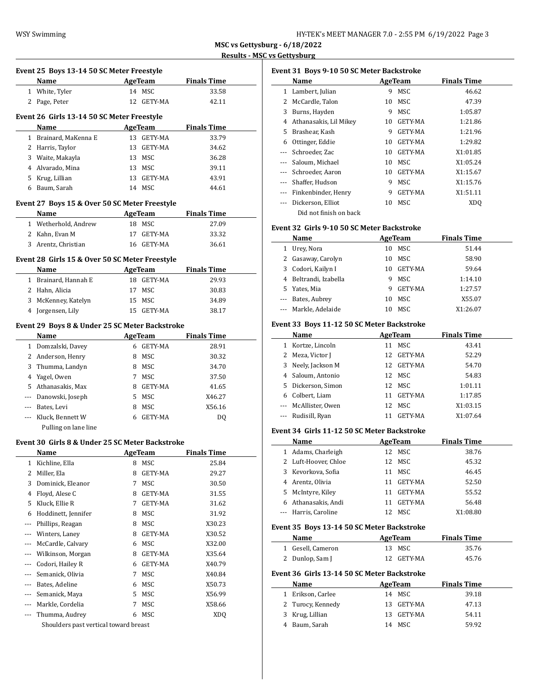|        | Event 25 Boys 13-14 50 SC Meter Freestyle               |                |                |                    |
|--------|---------------------------------------------------------|----------------|----------------|--------------------|
|        | <b>Name</b>                                             | <b>AgeTeam</b> |                | <b>Finals Time</b> |
|        | 1 White, Tyler                                          |                | 14 MSC         | 33.58              |
|        | 2 Page, Peter                                           |                | 12 GETY-MA     | 42.11              |
|        |                                                         |                |                |                    |
|        | Event 26 Girls 13-14 50 SC Meter Freestyle              |                |                |                    |
|        | Name                                                    |                | AgeTeam        | <b>Finals Time</b> |
|        | 1 Brainard, MaKenna E                                   |                | 13 GETY-MA     | 33.79              |
|        | 2 Harris, Taylor                                        |                | 13 GETY-MA     | 34.62              |
|        | 3 Waite, Makayla                                        |                | 13 MSC         | 36.28              |
|        | 4 Alvarado, Mina                                        |                | 13 MSC         | 39.11              |
|        | 5 Krug, Lillian                                         |                | 13 GETY-MA     | 43.91              |
|        | 6 Baum, Sarah                                           |                | 14 MSC         | 44.61              |
|        | Event 27 Boys 15 & Over 50 SC Meter Freestyle           |                |                |                    |
|        | <b>Name</b>                                             |                | AgeTeam        | <b>Finals Time</b> |
|        | 1 Wetherhold, Andrew                                    |                | 18 MSC         | 27.09              |
|        | 2 Kahn, Evan M                                          |                | 17 GETY-MA     | 33.32              |
|        | 3 Arentz, Christian                                     |                | 16 GETY-MA     | 36.61              |
|        | Event 28 Girls 15 & Over 50 SC Meter Freestyle          |                |                |                    |
|        | <b>Example 21 AgeTeam</b><br>Name                       |                |                | <b>Finals Time</b> |
|        | 1 Brainard, Hannah E                                    |                | 18 GETY-MA     | 29.93              |
|        | 2 Hahn, Alicia                                          |                | 17 MSC         | 30.83              |
|        | 3 McKenney, Katelyn                                     |                | 15 MSC         | 34.89              |
|        | 4 Jorgensen, Lily                                       |                | 15 GETY-MA     | 38.17              |
|        | Event 29 Boys 8 & Under 25 SC Meter Backstroke          |                |                |                    |
|        | Name                                                    |                | AgeTeam        | <b>Finals Time</b> |
|        | 1 Domzalski, Davey                                      |                | 6 GETY-MA      | 28.91              |
|        | 2 Anderson, Henry                                       |                | 8 MSC          | 30.32              |
|        | 3 Thumma, Landyn                                        |                | 8 MSC          | 34.70              |
|        | 4 Yagel, Owen                                           |                | 7 MSC          | 37.50              |
|        | 5 Athanasakis, Max                                      |                | 8 GETY-MA      | 41.65              |
|        | --- Danowski, Joseph                                    |                | 5 MSC          | X46.27             |
|        | --- Bates, Levi                                         |                | 8 MSC          | X56.16             |
|        | --- Kluck, Bennett W                                    |                | 6 GETY-MA      | DQ                 |
|        | Pulling on lane line                                    |                |                |                    |
|        |                                                         |                |                |                    |
|        | Event 30 Girls 8 & Under 25 SC Meter Backstroke         |                |                |                    |
|        | Name                                                    |                | AgeTeam        | <b>Finals Time</b> |
| 1<br>2 | Kichline, Ella<br>Miller, Ela                           | 8<br>8         | MSC<br>GETY-MA | 25.84              |
|        |                                                         |                |                | 29.27              |
| 3      | Dominick, Eleanor                                       | 7              | MSC            | 30.50              |
|        | 4 Floyd, Alese C                                        | 8              | GETY-MA        | 31.55              |
| 5      | Kluck, Ellie R                                          | 7              | GETY-MA        | 31.62              |
| 6      | Hoddinett, Jennifer                                     | 8              | MSC            | 31.92              |
| ---    | Phillips, Reagan                                        | 8              | MSC            | X30.23             |
| ---    | Winters, Laney                                          | 8              | GETY-MA        | X30.52             |
| ---    | McCardle, Calvary                                       |                | 6 MSC          | X32.00             |
| ---    | Wilkinson, Morgan                                       | 8.             | GETY-MA        | X35.64             |
| ---    | Codori, Hailey R                                        |                | 6 GETY-MA      | X40.79             |
| ---    | Semanick, Olivia                                        | 7              | MSC            | X40.84             |
| $---$  | Bates, Adeline                                          | 6              | MSC            | X50.73             |
| ---    | Semanick, Maya                                          |                | 5 MSC          | X56.99             |
| ---    | Markle, Cordelia                                        | 7              | MSC            | X58.66             |
| ---    | Thumma, Audrey<br>Shoulders past vertical toward breast |                | 6 MSC          | XDQ                |
|        |                                                         |                |                |                    |

| Event 31 Boys 9-10 50 SC Meter Backstroke |                        |    |                |                    |  |  |  |
|-------------------------------------------|------------------------|----|----------------|--------------------|--|--|--|
|                                           | Name                   |    | AgeTeam        | <b>Finals Time</b> |  |  |  |
| 1                                         | Lambert, Julian        | 9  | <b>MSC</b>     | 46.62              |  |  |  |
| 2                                         | McCardle, Talon        | 10 | MSC            | 47.39              |  |  |  |
| 3                                         | Burns, Hayden          | 9  | MSC            | 1:05.87            |  |  |  |
| 4                                         | Athanasakis, Lil Mikey | 10 | GETY-MA        | 1:21.86            |  |  |  |
| 5.                                        | Brashear, Kash         | 9  | <b>GETY-MA</b> | 1:21.96            |  |  |  |
| 6                                         | Ottinger, Eddie        | 10 | GETY-MA        | 1:29.82            |  |  |  |
|                                           | Schroeder, Zac         | 10 | GETY-MA        | X1:01.85           |  |  |  |
|                                           | Saloum, Michael        | 10 | MSC            | X1:05.24           |  |  |  |
|                                           | Schroeder, Aaron       | 10 | GETY-MA        | X1:15.67           |  |  |  |
|                                           | Shaffer, Hudson        | 9  | MSC            | X1:15.76           |  |  |  |
|                                           | Finkenbinder, Henry    | 9  | GETY-MA        | X1:51.11           |  |  |  |
|                                           | Dickerson, Elliot      | 10 | MSC            | XDO                |  |  |  |
|                                           | Did not finish on back |    |                |                    |  |  |  |

## **Event 32 Girls 9-10 50 SC Meter Backstroke**

|   | Name                  | AgeTeam |         | <b>Finals Time</b> |
|---|-----------------------|---------|---------|--------------------|
| 1 | Urey, Nora            | 10      | MSC     | 51.44              |
|   | 2 Gasaway, Carolyn    | 10      | MSC     | 58.90              |
|   | 3 Codori, Kailyn I    | 10      | GETY-MA | 59.64              |
|   | 4 Beltrandi, Izabella | 9       | MSC.    | 1:14.10            |
|   | 5 Yates, Mia          | 9       | GETY-MA | 1:27.57            |
|   | --- Bates, Aubrey     | 10      | MSC     | X55.07             |
|   | --- Markle, Adelaide  | 10      | MSC.    | X1:26.07           |

### **Event 33 Boys 11-12 50 SC Meter Backstroke**

|              | Name                 |     | AgeTeam        | <b>Finals Time</b> |
|--------------|----------------------|-----|----------------|--------------------|
| $\mathbf{1}$ | Kortze, Lincoln      | 11  | MSC            | 43.41              |
|              | 2 Meza, Victor J     | 12  | GETY-MA        | 52.29              |
|              | 3 Neely, Jackson M   | 12. | GETY-MA        | 54.70              |
|              | 4 Saloum, Antonio    |     | 12 MSC         | 54.83              |
|              | 5 Dickerson, Simon   |     | 12 MSC         | 1:01.11            |
|              | 6 Colbert, Liam      | 11  | GETY-MA        | 1:17.85            |
|              | --- McAllister, Owen |     | 12 MSC         | X1:03.15           |
|              | --- Rudisill, Ryan   | 11  | <b>GETY-MA</b> | X1:07.64           |

### **Event 34 Girls 11-12 50 SC Meter Backstroke**

 $\frac{1}{2}$ 

|    | Name                 |    | AgeTeam | <b>Finals Time</b> |  |
|----|----------------------|----|---------|--------------------|--|
| 1  | Adams, Charleigh     | 12 | MSC     | 38.76              |  |
|    | 2 Luft-Hoover, Chloe | 12 | MSC     | 45.32              |  |
|    | 3 Kevorkova, Sofia   | 11 | MSC.    | 46.45              |  |
|    | Arentz, Olivia       | 11 | GETY-MA | 52.50              |  |
|    | 5 McIntyre, Kiley    | 11 | GETY-MA | 55.52              |  |
| 6. | Athanasakis, Andi    | 11 | GETY-MA | 56.48              |  |
|    | --- Harris, Caroline |    | MSC.    | X1:08.80           |  |

### **Event 35 Boys 13-14 50 SC Meter Backstroke**

| Name              | AgeTeam    | <b>Finals Time</b> |  |
|-------------------|------------|--------------------|--|
| 1 Gesell, Cameron | 13 MSC     | 35.76              |  |
| 2 Dunlop, Sam J   | 12 GETY-MA | 45.76              |  |

# **Event 36 Girls 13-14 50 SC Meter Backstroke**

| <b>Name</b> |                   | AgeTeam    | <b>Finals Time</b> |
|-------------|-------------------|------------|--------------------|
|             | 1 Erikson, Carlee | 14 MSC     | 39.18              |
|             | 2 Turocy, Kennedy | 13 GETY-MA | 47.13              |
|             | 3 Krug, Lillian   | 13 GETY-MA | 54.11              |
|             | 4 Baum, Sarah     | 14 MSC     | 59.92              |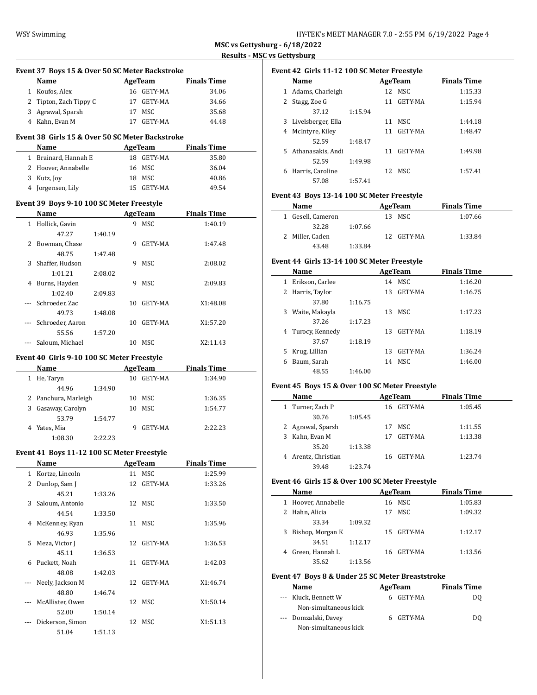$\overline{\phantom{a}}$ 

|     | Event 37 Boys 15 & Over 50 SC Meter Backstroke    |         |    |                            |                    |  |
|-----|---------------------------------------------------|---------|----|----------------------------|--------------------|--|
|     | Name AgeTeam                                      |         |    |                            | <b>Finals Time</b> |  |
|     | 1 Koufos, Alex                                    |         |    | 16 GETY-MA                 | 34.06              |  |
|     | 2 Tipton, Zach Tippy C                            |         |    | 17 GETY-MA                 | 34.66              |  |
|     | 3 Agrawal, Sparsh                                 |         |    | 17 MSC                     | 35.68              |  |
|     | 4 Kahn, Evan M                                    |         |    | 17 GETY-MA                 | 44.48              |  |
|     | Event 38 Girls 15 & Over 50 SC Meter Backstroke   |         |    |                            |                    |  |
|     | Name                                              |         |    | <b>Example 2.1 AgeTeam</b> | <b>Finals Time</b> |  |
|     | 1 Brainard, Hannah E                              |         |    | 18 GETY-MA                 | 35.80              |  |
|     | 2 Hoover, Annabelle                               |         |    | 16 MSC                     | 36.04              |  |
|     | 3 Kutz, Joy                                       |         |    | 18 MSC                     | 40.86              |  |
|     | 4 Jorgensen, Lily                                 |         |    | 15 GETY-MA                 | 49.54              |  |
|     |                                                   |         |    |                            |                    |  |
|     | Event 39 Boys 9-10 100 SC Meter Freestyle<br>Name |         |    | AgeTeam                    | <b>Finals Time</b> |  |
|     |                                                   |         |    | 9 MSC                      |                    |  |
|     | 1 Hollick, Gavin                                  |         |    |                            | 1:40.19            |  |
|     | 47.27                                             | 1:40.19 |    |                            |                    |  |
|     | 2 Bowman, Chase                                   |         |    | 9 GETY-MA                  | 1:47.48            |  |
|     | 48.75                                             | 1:47.48 |    |                            |                    |  |
|     | 3 Shaffer, Hudson                                 |         |    | 9 MSC                      | 2:08.02            |  |
|     | 1:01.21                                           | 2:08.02 |    |                            |                    |  |
|     | 4 Burns, Hayden                                   |         |    | 9 MSC                      | 2:09.83            |  |
|     | 1:02.40                                           | 2:09.83 |    |                            |                    |  |
| --- | Schroeder, Zac                                    |         |    | 10 GETY-MA                 | X1:48.08           |  |
|     | 49.73                                             | 1:48.08 |    |                            |                    |  |
| --- | Schroeder, Aaron                                  |         |    | 10 GETY-MA                 | X1:57.20           |  |
|     | 55.56                                             | 1:57.20 |    |                            |                    |  |
|     | Saloum, Michael                                   |         |    | 10 MSC                     | X2:11.43           |  |
|     |                                                   |         |    |                            |                    |  |
|     | Event 40 Girls 9-10 100 SC Meter Freestyle        |         |    |                            |                    |  |
|     | Name                                              |         |    | AgeTeam                    | <b>Finals Time</b> |  |
|     | 1 He, Taryn                                       |         |    | 10 GETY-MA                 | 1:34.90            |  |
|     | 44.96                                             | 1:34.90 |    |                            |                    |  |
|     | 2 Panchura, Marleigh                              |         |    | 10 MSC                     | 1:36.35            |  |
|     | 3 Gasaway, Carolyn                                |         |    | 10 MSC                     | 1:54.77            |  |
|     | 53.79                                             | 1:54.77 |    |                            |                    |  |
|     | 4 Yates, Mia                                      |         |    | 9 GETY-MA                  | 2:22.23            |  |
|     | 1:08.30                                           | 2:22.23 |    |                            |                    |  |
|     |                                                   |         |    |                            |                    |  |
|     | Event 41 Boys 11-12 100 SC Meter Freestyle        |         |    |                            |                    |  |
|     | <u>Name</u>                                       |         |    | <u>AgeTeam</u>             | <u>Finals Time</u> |  |
| 1   | Kortze, Lincoln                                   |         | 11 | MSC                        | 1:25.99            |  |
| 2   | Dunlop, Sam J                                     |         | 12 | GETY-MA                    | 1:33.26            |  |
|     | 45.21                                             | 1:33.26 |    |                            |                    |  |
| 3   | Saloum, Antonio                                   |         |    | 12 MSC                     | 1:33.50            |  |
|     | 44.54                                             | 1:33.50 |    |                            |                    |  |
| 4   | McKenney, Ryan                                    |         |    | 11 MSC                     | 1:35.96            |  |
|     | 46.93                                             | 1:35.96 |    |                            |                    |  |
| 5   | Meza, Victor J                                    |         | 12 | GETY-MA                    | 1:36.53            |  |
|     | 45.11                                             | 1:36.53 |    |                            |                    |  |
| 6   | Puckett, Noah                                     |         |    | 11 GETY-MA                 | 1:42.03            |  |
|     | 48.08                                             | 1:42.03 |    |                            |                    |  |
| --- | Neely, Jackson M                                  |         | 12 | GETY-MA                    | X1:46.74           |  |
|     | 48.80                                             | 1:46.74 |    |                            |                    |  |
| --- | McAllister, Owen                                  |         | 12 | MSC                        | X1:50.14           |  |
|     | 52.00                                             | 1:50.14 |    |                            |                    |  |
|     | Dickerson, Simon<br>51.04                         | 1:51.13 | 12 | MSC                        | X1:51.13           |  |

| Event 42  Girls 11-12 100 SC Meter Freestyle |                    |         |     |            |                    |  |  |
|----------------------------------------------|--------------------|---------|-----|------------|--------------------|--|--|
|                                              | Name               |         |     | AgeTeam    | <b>Finals Time</b> |  |  |
| 1                                            | Adams, Charleigh   |         |     | 12 MSC     | 1:15.33            |  |  |
|                                              | Stagg, Zoe G       |         |     | 11 GETY-MA | 1:15.94            |  |  |
|                                              | 37.12              | 1:15.94 |     |            |                    |  |  |
| 3                                            | Livelsberger, Ella |         | 11  | MSC.       | 1:44.18            |  |  |
| 4                                            | McIntyre, Kiley    |         | 11  | GETY-MA    | 1:48.47            |  |  |
|                                              | 52.59              | 1:48.47 |     |            |                    |  |  |
| 5.                                           | Athanasakis, Andi  |         | 11  | GETY-MA    | 1:49.98            |  |  |
|                                              | 52.59              | 1:49.98 |     |            |                    |  |  |
| 6                                            | Harris, Caroline   |         | 12. | MSC.       | 1:57.41            |  |  |
|                                              | 57.08              | 1:57.41 |     |            |                    |  |  |

# **Event 43 Boys 13-14 100 SC Meter Freestyle**

| Name              |         | AgeTeam |            | <b>Finals Time</b> |  |
|-------------------|---------|---------|------------|--------------------|--|
| 1 Gesell, Cameron |         |         | 13 MSC     | 1:07.66            |  |
| 32.28             | 1:07.66 |         |            |                    |  |
| 2 Miller, Caden   |         |         | 12 GETY-MA | 1:33.84            |  |
| 43.48             | 1:33.84 |         |            |                    |  |

# **Event 44 Girls 13-14 100 SC Meter Freestyle**

|   | Name              |         |    | AgeTeam | <b>Finals Time</b> |  |
|---|-------------------|---------|----|---------|--------------------|--|
| 1 | Erikson, Carlee   |         | 14 | MSC.    | 1:16.20            |  |
|   | 2 Harris, Taylor  |         | 13 | GETY-MA | 1:16.75            |  |
|   | 37.80             | 1:16.75 |    |         |                    |  |
| 3 | Waite, Makayla    |         | 13 | MSC.    | 1:17.23            |  |
|   | 37.26             | 1:17.23 |    |         |                    |  |
|   | 4 Turocy, Kennedy |         | 13 | GETY-MA | 1:18.19            |  |
|   | 37.67             | 1:18.19 |    |         |                    |  |
| 5 | Krug, Lillian     |         | 13 | GETY-MA | 1:36.24            |  |
| 6 | Baum, Sarah       |         | 14 | MSC.    | 1:46.00            |  |
|   | 48.55             | 1:46.00 |    |         |                    |  |

# **Event 45 Boys 15 & Over 100 SC Meter Freestyle**

| Name                |         |     | AgeTeam    | <b>Finals Time</b> |  |
|---------------------|---------|-----|------------|--------------------|--|
| 1 Turner, Zach P    |         |     | 16 GETY-MA | 1:05.45            |  |
| 30.76               | 1:05.45 |     |            |                    |  |
| 2 Agrawal, Sparsh   |         | 17  | MSC.       | 1:11.55            |  |
| 3 Kahn, Evan M      |         | 17  | GETY-MA    | 1:13.38            |  |
| 35.20               | 1:13.38 |     |            |                    |  |
| 4 Arentz, Christian |         | 16. | GETY-MA    | 1:23.74            |  |
| 39.48               | 1:23.74 |     |            |                    |  |

# **Event 46 Girls 15 & Over 100 SC Meter Freestyle**

|   | Name              |         |     | AgeTeam | <b>Finals Time</b> |  |
|---|-------------------|---------|-----|---------|--------------------|--|
| 1 | Hoover, Annabelle |         |     | 16 MSC  | 1:05.83            |  |
|   | 2 Hahn, Alicia    |         |     | 17 MSC  | 1:09.32            |  |
|   | 33.34             | 1:09.32 |     |         |                    |  |
| 3 | Bishop, Morgan K  |         | 15. | GETY-MA | 1:12.17            |  |
|   | 34.51             | 1:12.17 |     |         |                    |  |
|   | 4 Green, Hannah L |         | 16. | GETY-MA | 1:13.56            |  |
|   | 35.62             | 1:13.56 |     |         |                    |  |

## **Event 47 Boys 8 & Under 25 SC Meter Breaststroke**

| Name                  | AgeTeam   | <b>Finals Time</b> |
|-----------------------|-----------|--------------------|
| --- Kluck, Bennett W  | 6 GETY-MA | DO.                |
| Non-simultaneous kick |           |                    |
| --- Domzalski, Davey  | 6 GETY-MA | DO.                |
| Non-simultaneous kick |           |                    |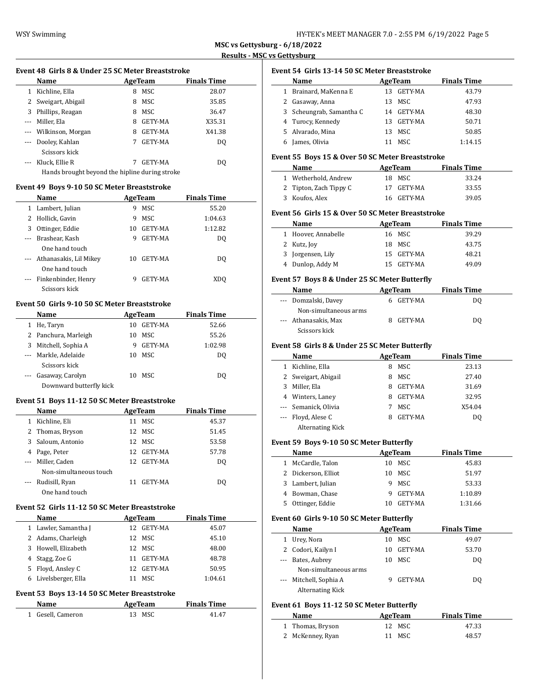| HY-TEK's MEET MANAGER 7.0 - 2:55 PM 6/19/2022 Page 5 |  |  |  |  |  |  |
|------------------------------------------------------|--|--|--|--|--|--|
|------------------------------------------------------|--|--|--|--|--|--|

 $\overline{\phantom{a}}$ 

# **Event 48 Girls 8 & Under 25 SC Meter Breaststroke Name Age Team Finals Time**

|                                                                                                | машс                                           |   | лестсаш        | гицанэ гипс |  |
|------------------------------------------------------------------------------------------------|------------------------------------------------|---|----------------|-------------|--|
|                                                                                                | Kichline, Ella                                 | 8 | MSC            | 28.07       |  |
| 2                                                                                              | Sweigart, Abigail                              | 8 | MSC            | 35.85       |  |
| 3                                                                                              | Phillips, Reagan                               | 8 | MSC            | 36.47       |  |
| $\cdots$                                                                                       | Miller, Ela                                    | 8 | GETY-MA        | X35.31      |  |
|                                                                                                | --- Wilkinson, Morgan                          | 8 | GETY-MA        | X41.38      |  |
| $\cdots$                                                                                       | Dooley, Kahlan                                 | 7 | <b>GETY-MA</b> | DO.         |  |
|                                                                                                | Scissors kick                                  |   |                |             |  |
| $\frac{1}{2} \left( \frac{1}{2} \right) \left( \frac{1}{2} \right) \left( \frac{1}{2} \right)$ | Kluck, Ellie R                                 |   | GETY-MA        | DO.         |  |
|                                                                                                | Hands brought beyond the hipline during stroke |   |                |             |  |

### **Event 49 Boys 9-10 50 SC Meter Breaststroke**

|          | Name                       |    | AgeTeam        | <b>Finals Time</b> |  |
|----------|----------------------------|----|----------------|--------------------|--|
| 1        | Lambert, Julian            | 9  | MSC            | 55.20              |  |
| 2        | Hollick, Gavin             | 9  | MSC.           | 1:04.63            |  |
| 3        | Ottinger, Eddie            | 10 | GETY-MA        | 1:12.82            |  |
| $\cdots$ | Brashear, Kash             | 9  | GETY-MA        | DO                 |  |
|          | One hand touch             |    |                |                    |  |
|          | --- Athanasakis, Lil Mikey | 10 | <b>GETY-MA</b> | DO                 |  |
|          | One hand touch             |    |                |                    |  |
|          | Finkenbinder, Henry        | 9  | GETY-MA        | XDO                |  |
|          | Scissors kick              |    |                |                    |  |

# **Event 50 Girls 9-10 50 SC Meter Breaststroke**

|          | Name                    |    | AgeTeam        | <b>Finals Time</b> |  |
|----------|-------------------------|----|----------------|--------------------|--|
|          | 1 He, Taryn             | 10 | <b>GETY-MA</b> | 52.66              |  |
|          | 2 Panchura, Marleigh    | 10 | MSC            | 55.26              |  |
| 3        | Mitchell, Sophia A      | 9  | GETY-MA        | 1:02.98            |  |
| $\cdots$ | Markle, Adelaide        | 10 | MSC.           | DO                 |  |
|          | Scissors kick           |    |                |                    |  |
| $\cdots$ | Gasaway, Carolyn        | 10 | MSC.           | DO                 |  |
|          | Downward butterfly kick |    |                |                    |  |

## **Event 51 Boys 11-12 50 SC Meter Breaststroke**

|    | <b>Name</b>            | AgeTeam |         | <b>Finals Time</b> |  |
|----|------------------------|---------|---------|--------------------|--|
| 1  | Kichline, Eli          | 11      | MSC     | 45.37              |  |
|    | 2 Thomas, Bryson       | 12.     | MSC.    | 51.45              |  |
| 3. | Saloum, Antonio        |         | 12 MSC  | 53.58              |  |
| 4  | Page, Peter            | 12.     | GETY-MA | 57.78              |  |
|    | --- Miller, Caden      | 12.     | GETY-MA | DO.                |  |
|    | Non-simultaneous touch |         |         |                    |  |
|    | Rudisill, Ryan         | 11      | GETY-MA | DO                 |  |
|    | One hand touch         |         |         |                    |  |

### **Event 52 Girls 11-12 50 SC Meter Breaststroke**

| <b>Name</b>             | AgeTeam    | <b>Finals Time</b> |
|-------------------------|------------|--------------------|
| 1 Lawler, Samantha J    | 12 GETY-MA | 45.07              |
| 2 Adams, Charleigh      | MSC.<br>12 | 45.10              |
| Howell, Elizabeth<br>3. | MSC.<br>12 | 48.00              |
| 4 Stagg, Zoe G          | 11 GETY-MA | 48.78              |
| Floyd, Ansley C<br>5    | 12 GETY-MA | 50.95              |
| Livelsberger, Ella      | MSC        | 1:04.61            |
|                         |            |                    |

# **Event 53 Boys 13-14 50 SC Meter Breaststroke**

| Name              | AgeTeam | <b>Finals Time</b> |
|-------------------|---------|--------------------|
| 1 Gesell, Cameron | 13 MSC  | 41.47              |

| Event 54 Girls 13-14 50 SC Meter Breaststroke |  |
|-----------------------------------------------|--|
|-----------------------------------------------|--|

|   | Name                     | AgeTeam     |         | <b>Finals Time</b> |  |
|---|--------------------------|-------------|---------|--------------------|--|
| 1 | Brainard, MaKenna E      | 13.         | GETY-MA | 43.79              |  |
|   | Gasaway, Anna            | MSC.<br>13. |         | 47.93              |  |
|   | 3 Scheungrab, Samantha C | 14          | GETY-MA | 48.30              |  |
|   | 4 Turocy, Kennedy        | 13          | GETY-MA | 50.71              |  |
|   | 5 Alvarado, Mina         | MSC.<br>13. |         | 50.85              |  |
|   | James, Olivia            | MSC         |         | 1:14.15            |  |

## **Event 55 Boys 15 & Over 50 SC Meter Breaststroke**

| Name                   | AgeTeam    | <b>Finals Time</b> |
|------------------------|------------|--------------------|
| 1 Wetherhold, Andrew   | 18 MSC     | 33.24              |
| 2 Tipton, Zach Tippy C | 17 GETY-MA | 33.55              |
| 3 Koufos, Alex         | 16 GETY-MA | 39.05              |

# **Event 56 Girls 15 & Over 50 SC Meter Breaststroke**

| <b>Name</b>         | AgeTeam    | <b>Finals Time</b> |  |
|---------------------|------------|--------------------|--|
| 1 Hoover, Annabelle | 16 MSC     | 39.29              |  |
| 2 Kutz, Joy         | 18 MSC     | 43.75              |  |
| 3 Jorgensen, Lily   | 15 GETY-MA | 48.21              |  |
| 4 Dunlop, Addy M    | 15 GETY-MA | 49.09              |  |

## **Event 57 Boys 8 & Under 25 SC Meter Butterfly**

| Name                  | AgeTeam | <b>Finals Time</b> |
|-----------------------|---------|--------------------|
| --- Domzalski, Davey  | GETY-MA | DΟ                 |
| Non-simultaneous arms |         |                    |
| --- Athanasakis, Max  | GETY-MA | DΟ                 |
| Scissors kick         |         |                    |

## **Event 58 Girls 8 & Under 25 SC Meter Butterfly**

|   | Name                    |   | AgeTeam        | <b>Finals Time</b> |  |
|---|-------------------------|---|----------------|--------------------|--|
|   | Kichline, Ella          | 8 | <b>MSC</b>     | 23.13              |  |
| 2 | Sweigart, Abigail       | 8 | MSC            | 27.40              |  |
| 3 | Miller, Ela             | 8 | <b>GETY-MA</b> | 31.69              |  |
| 4 | Winters, Laney          | 8 | <b>GETY-MA</b> | 32.95              |  |
|   | Semanick, Olivia        |   | MSC            | X54.04             |  |
|   | Floyd, Alese C          | 8 | <b>GETY-MA</b> | DO.                |  |
|   | <b>Alternating Kick</b> |   |                |                    |  |

### **Event 59 Boys 9-10 50 SC Meter Butterfly**

| Name                |    | AgeTeam        | <b>Finals Time</b> |
|---------------------|----|----------------|--------------------|
| 1 McCardle, Talon   | 10 | MSC            | 45.83              |
| 2 Dickerson, Elliot | 10 | MSC            | 51.97              |
| 3 Lambert, Julian   |    | MSC.           | 53.33              |
| 4 Bowman, Chase     |    | GETY-MA        | 1:10.89            |
| 5 Ottinger, Eddie   | 10 | <b>GETY-MA</b> | 1:31.66            |

#### **Event 60 Girls 9-10 50 SC Meter Butterfly**

|   | Name                    |    | AgeTeam        | <b>Finals Time</b> |  |
|---|-------------------------|----|----------------|--------------------|--|
| 1 | Urey, Nora              | 10 | MSC            | 49.07              |  |
|   | 2 Codori, Kailyn I      | 10 | <b>GETY-MA</b> | 53.70              |  |
|   | --- Bates, Aubrey       | 10 | MSC            | DO.                |  |
|   | Non-simultaneous arms   |    |                |                    |  |
|   | --- Mitchell, Sophia A  |    | <b>GETY-MA</b> | DO.                |  |
|   | <b>Alternating Kick</b> |    |                |                    |  |

### **Event 61 Boys 11-12 50 SC Meter Butterfly**

| Name             | AgeTeam | <b>Finals Time</b> |  |
|------------------|---------|--------------------|--|
| 1 Thomas, Bryson | 12 MSC  | 47.33              |  |
| 2 McKenney, Ryan | 11 MSC  | 48.57              |  |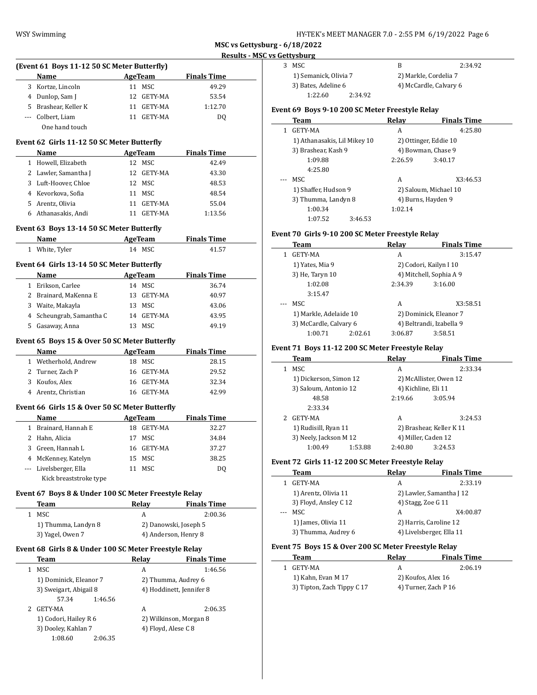**MSC vs Gettysburg - 6/18/2022**

ر<br><mark>res Gettysb</mark> و

|     |                                                       |    |                          |                    | <u>Results - MSC</u> |
|-----|-------------------------------------------------------|----|--------------------------|--------------------|----------------------|
|     | (Event 61 Boys 11-12 50 SC Meter Butterfly)           |    |                          |                    |                      |
|     | Name                                                  |    | <b>AgeTeam</b>           | <b>Finals Time</b> |                      |
|     | 3 Kortze, Lincoln                                     |    | 11 MSC                   | 49.29              |                      |
|     | 4 Dunlop, Sam J                                       |    | 12 GETY-MA               | 53.54              |                      |
|     | 5 Brashear, Keller K                                  |    | 11 GETY-MA               | 1:12.70            |                      |
|     | --- Colbert, Liam                                     |    | 11 GETY-MA               | DQ                 |                      |
|     | One hand touch                                        |    |                          |                    |                      |
|     |                                                       |    |                          |                    |                      |
|     | Event 62 Girls 11-12 50 SC Meter Butterfly            |    |                          |                    |                      |
|     | Name                                                  |    | <b>AgeTeam</b>           | <b>Finals Time</b> |                      |
|     | 1 Howell, Elizabeth                                   |    | 12 MSC                   | 42.49              |                      |
|     | 2 Lawler, Samantha J                                  |    | 12 GETY-MA               | 43.30              |                      |
|     | 3 Luft-Hoover, Chloe                                  |    | 12 MSC                   | 48.53              |                      |
|     | 4 Kevorkova, Sofia                                    |    | 11 MSC                   | 48.54              |                      |
|     | 5 Arentz, Olivia                                      |    | 11 GETY-MA               | 55.04              |                      |
|     | 6 Athanasakis, Andi                                   |    | 11 GETY-MA               | 1:13.56            |                      |
|     | Event 63 Boys 13-14 50 SC Meter Butterfly             |    |                          |                    |                      |
|     | Name                                                  |    | <b>AgeTeam</b>           | <b>Finals Time</b> |                      |
|     |                                                       |    | 14 MSC                   |                    |                      |
|     | 1 White, Tyler                                        |    |                          | 41.57              |                      |
|     | Event 64 Girls 13-14 50 SC Meter Butterfly            |    |                          |                    |                      |
|     | Name                                                  |    | <b>AgeTeam</b>           | <b>Finals Time</b> |                      |
|     | 1 Erikson, Carlee                                     |    | 14 MSC                   | 36.74              |                      |
|     | 2 Brainard, MaKenna E                                 |    | 13 GETY-MA               | 40.97              |                      |
|     | 3 Waite, Makayla                                      |    | 13 MSC                   | 43.06              |                      |
|     | 4 Scheungrab, Samantha C                              |    | 14 GETY-MA               | 43.95              |                      |
|     | 5 Gasaway, Anna                                       |    | 13 MSC                   | 49.19              |                      |
|     |                                                       |    |                          |                    |                      |
|     | Event 65 Boys 15 & Over 50 SC Meter Butterfly         |    |                          |                    |                      |
|     | <b>Name</b>                                           |    | <b>Example 2</b> AgeTeam | <b>Finals Time</b> |                      |
|     | 1 Wetherhold, Andrew                                  |    | 18 MSC                   | 28.15              |                      |
|     | 2 Turner, Zach P                                      |    | 16 GETY-MA               | 29.52              |                      |
|     | 3 Koufos, Alex                                        |    | 16 GETY-MA               | 32.34              |                      |
|     | 4 Arentz, Christian                                   |    | 16 GETY-MA               | 42.99              |                      |
|     |                                                       |    |                          |                    |                      |
|     | Event 66 Girls 15 & Over 50 SC Meter Butterfly        |    |                          |                    |                      |
|     | Name                                                  |    | <b>AgeTeam</b>           | <b>Finals Time</b> |                      |
|     | 1 Brainard, Hannah E                                  |    | 18 GETY-MA               | 32.27              |                      |
|     | 2 Hahn, Alicia                                        | 17 | MSC                      | 34.84              |                      |
| 3   | Green, Hannah L                                       | 16 | GETY-MA                  | 37.27              |                      |
| 4   | McKenney, Katelyn                                     | 15 | MSC                      | 38.25              |                      |
| --- | Livelsberger, Ella                                    | 11 | MSC                      | DQ                 |                      |
|     | Kick breaststroke type                                |    |                          |                    |                      |
|     | Event 67 Boys 8 & Under 100 SC Meter Freestyle Relay  |    |                          |                    |                      |
|     |                                                       |    |                          |                    |                      |
|     | Team                                                  |    | <b>Relay</b>             | <b>Finals Time</b> |                      |
|     | 1 MSC                                                 |    | A                        | 2:00.36            |                      |
|     | 1) Thumma, Landyn 8                                   |    | 2) Danowski, Joseph 5    |                    |                      |
|     | 3) Yagel, Owen 7                                      |    | 4) Anderson, Henry 8     |                    |                      |
|     | Event 68 Girls 8 & Under 100 SC Meter Freestyle Relay |    |                          |                    |                      |
|     | Team                                                  |    | <b>Relay</b>             | <b>Finals Time</b> |                      |
| 1   | MSC                                                   |    | А                        | 1:46.56            |                      |
|     | 1) Dominick, Eleanor 7                                |    | 2) Thumma, Audrey 6      |                    |                      |
|     | 3) Sweigart, Abigail 8                                |    | 4) Hoddinett, Jennifer 8 |                    |                      |
|     | 57.34<br>1:46.56                                      |    |                          |                    |                      |
| 2   | GETY-MA                                               |    | А                        | 2:06.35            |                      |
|     | 1) Codori, Hailey R 6                                 |    | 2) Wilkinson, Morgan 8   |                    |                      |
|     | 3) Dooley, Kahlan 7                                   |    | 4) Floyd, Alese C 8      |                    |                      |
|     | 1:08.60<br>2:06.35                                    |    |                          |                    |                      |
|     |                                                       |    |                          |                    |                      |

| 's Gettysburg                                    |         |                        |         |  |  |
|--------------------------------------------------|---------|------------------------|---------|--|--|
| MSC.<br>3                                        |         | B                      | 2:34.92 |  |  |
| 1) Semanick, Olivia 7                            |         | 2) Markle, Cordelia 7  |         |  |  |
| 3) Bates, Adeline 6                              |         | 4) McCardle, Calvary 6 |         |  |  |
| 1:22.60                                          | 2:34.92 |                        |         |  |  |
| Event 69  Boys 9-10 200 SC Meter Freestyle Relay |         |                        |         |  |  |

|  | Team                         | Relay                 | <b>Finals Time</b> |
|--|------------------------------|-----------------------|--------------------|
|  | 1 GETY-MA                    | А                     | 4:25.80            |
|  | 1) Athanasakis, Lil Mikey 10 | 2) Ottinger, Eddie 10 |                    |
|  | 3) Brashear, Kash 9          | 4) Bowman, Chase 9    |                    |
|  | 1:09.88                      | 2:26.59               | 3:40.17            |

|     |                      |         | ----               | .                     |
|-----|----------------------|---------|--------------------|-----------------------|
|     | 4:25.80              |         |                    |                       |
| --- | MSC.                 |         | А                  | X3:46.53              |
|     | 1) Shaffer, Hudson 9 |         |                    | 2) Saloum, Michael 10 |
|     | 3) Thumma, Landyn 8  |         | 4) Burns, Hayden 9 |                       |
|     | 1:00.34              |         | 1:02.14            |                       |
|     | 1:07.52              | 3:46.53 |                    |                       |

# **Event 70 Girls 9-10 200 SC Meter Freestyle Relay**

| Team                   |         | Relay   | <b>Finals Time</b>       |
|------------------------|---------|---------|--------------------------|
| GETY-MA                |         | A       | 3:15.47                  |
| 1) Yates, Mia 9        |         |         | 2) Codori, Kailyn I 10   |
| 3) He, Taryn 10        |         |         | 4) Mitchell, Sophia A 9  |
| 1:02.08                |         | 2:34.39 | 3:16.00                  |
| 3:15.47                |         |         |                          |
| MSC.                   |         | A       | X3:58.51                 |
| 1) Markle, Adelaide 10 |         |         | 2) Dominick, Eleanor 7   |
| 3) McCardle, Calvary 6 |         |         | 4) Beltrandi, Izabella 9 |
| 1:00.71                | 2:02.61 | 3:06.87 | 3:58.51                  |

# **Event 71 Boys 11-12 200 SC Meter Freestyle Relay**

| Team                   | Relav              | <b>Finals Time</b>       |
|------------------------|--------------------|--------------------------|
| MSC<br>1               | А                  | 2:33.34                  |
| 1) Dickerson, Simon 12 |                    | 2) McAllister, Owen 12   |
| 3) Saloum, Antonio 12  |                    | 4) Kichline, Eli 11      |
| 48.58                  | 2:19.66            | 3:05.94                  |
| 2:33.34                |                    |                          |
| GETY-MA                | A                  | 3:24.53                  |
| 1) Rudisill, Ryan 11   |                    | 2) Brashear, Keller K 11 |
| 3) Neely, Jackson M 12 |                    | 4) Miller, Caden 12      |
| 1:00.49                | 1:53.88<br>2:40.80 | 3:24.53                  |

# **Event 72 Girls 11-12 200 SC Meter Freestyle Relay**

|                                                                                                                                                                                                                                                                                                                                                                                                                                                                            | Team                  | Relav                    | <b>Finals Time</b>     |  |
|----------------------------------------------------------------------------------------------------------------------------------------------------------------------------------------------------------------------------------------------------------------------------------------------------------------------------------------------------------------------------------------------------------------------------------------------------------------------------|-----------------------|--------------------------|------------------------|--|
|                                                                                                                                                                                                                                                                                                                                                                                                                                                                            | GETY-MA               | A                        | 2:33.19                |  |
|                                                                                                                                                                                                                                                                                                                                                                                                                                                                            | 1) Arentz, Olivia 11  | 2) Lawler, Samantha J 12 |                        |  |
|                                                                                                                                                                                                                                                                                                                                                                                                                                                                            | 3) Floyd, Ansley C 12 | 4) Stagg, Zoe G 11       |                        |  |
| $\frac{1}{2} \left( \frac{1}{2} \right) \left( \frac{1}{2} \right) \left( \frac{1}{2} \right) \left( \frac{1}{2} \right) \left( \frac{1}{2} \right) \left( \frac{1}{2} \right) \left( \frac{1}{2} \right) \left( \frac{1}{2} \right) \left( \frac{1}{2} \right) \left( \frac{1}{2} \right) \left( \frac{1}{2} \right) \left( \frac{1}{2} \right) \left( \frac{1}{2} \right) \left( \frac{1}{2} \right) \left( \frac{1}{2} \right) \left( \frac{1}{2} \right) \left( \frac$ | MSC.                  | A                        | X4:00.87               |  |
|                                                                                                                                                                                                                                                                                                                                                                                                                                                                            | 1) James, Olivia 11   |                          | 2) Harris, Caroline 12 |  |
|                                                                                                                                                                                                                                                                                                                                                                                                                                                                            | 3) Thumma, Audrey 6   | 4) Livelsberger, Ella 11 |                        |  |
|                                                                                                                                                                                                                                                                                                                                                                                                                                                                            |                       |                          |                        |  |

# **Event 75 Boys 15 & Over 200 SC Meter Freestyle Relay**

| Team    |                            | Relav              | <b>Finals Time</b>   |
|---------|----------------------------|--------------------|----------------------|
| GETY-MA |                            |                    | 2:06.19              |
|         | 1) Kahn, Evan M 17         | 2) Koufos, Alex 16 |                      |
|         | 3) Tipton, Zach Tippy C 17 |                    | 4) Turner, Zach P 16 |